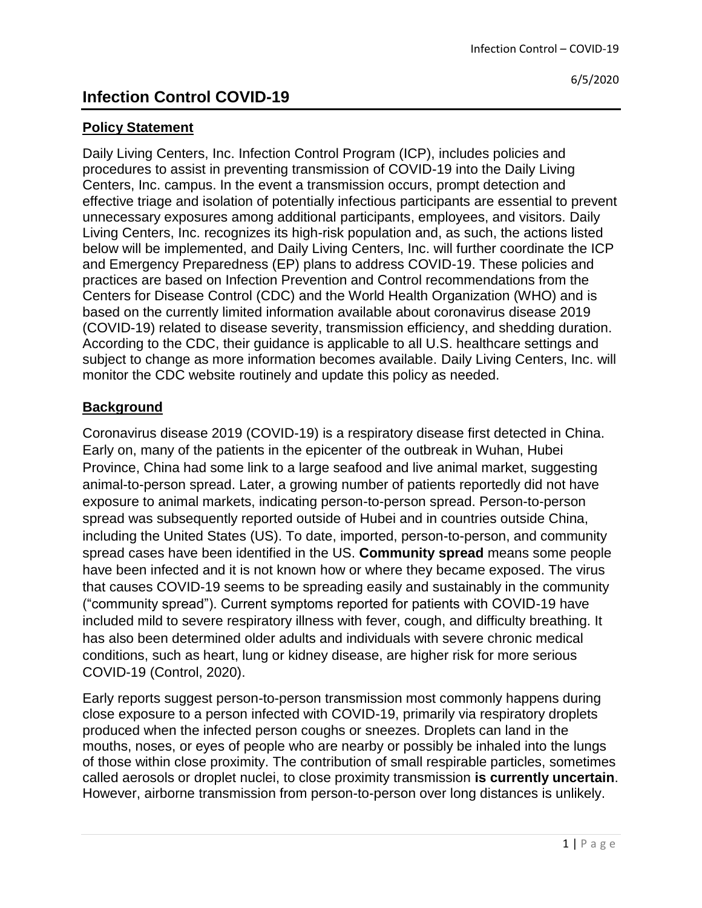# **Policy Statement**

Daily Living Centers, Inc. Infection Control Program (ICP), includes policies and procedures to assist in preventing transmission of COVID-19 into the Daily Living Centers, Inc. campus. In the event a transmission occurs, prompt detection and effective triage and isolation of potentially infectious participants are essential to prevent unnecessary exposures among additional participants, employees, and visitors. Daily Living Centers, Inc. recognizes its high-risk population and, as such, the actions listed below will be implemented, and Daily Living Centers, Inc. will further coordinate the ICP and Emergency Preparedness (EP) plans to address COVID-19. These policies and practices are based on Infection Prevention and Control recommendations from the Centers for Disease Control (CDC) and the World Health Organization (WHO) and is based on the currently limited information available about coronavirus disease 2019 (COVID-19) related to disease severity, transmission efficiency, and shedding duration. According to the CDC, their guidance is applicable to all U.S. healthcare settings and subject to change as more information becomes available. Daily Living Centers, Inc. will monitor the CDC website routinely and update this policy as needed.

### **Background**

Coronavirus disease 2019 (COVID-19) is a respiratory disease first detected in China. Early on, many of the patients in the epicenter of the outbreak in Wuhan, Hubei Province, China had some link to a large seafood and live animal market, suggesting animal-to-person spread. Later, a growing number of patients reportedly did not have exposure to animal markets, indicating person-to-person spread. Person-to-person spread was subsequently reported outside of Hubei and in countries outside China, including the United States (US). To date, imported, person-to-person, and community spread cases have been identified in the US. **Community spread** means some people have been infected and it is not known how or where they became exposed. The virus that causes COVID-19 seems to be spreading easily and sustainably in the community ("community spread"). Current symptoms reported for patients with COVID-19 have included mild to severe respiratory illness with fever, cough, and difficulty breathing. It has also been determined older adults and individuals with severe chronic medical conditions, such as heart, lung or kidney disease, are higher risk for more serious COVID-19 (Control, 2020).

Early reports suggest person-to-person transmission most commonly happens during close exposure to a person infected with COVID-19, primarily via respiratory droplets produced when the infected person coughs or sneezes. Droplets can land in the mouths, noses, or eyes of people who are nearby or possibly be inhaled into the lungs of those within close proximity. The contribution of small respirable particles, sometimes called aerosols or droplet nuclei, to close proximity transmission **is currently uncertain**. However, airborne transmission from person-to-person over long distances is unlikely.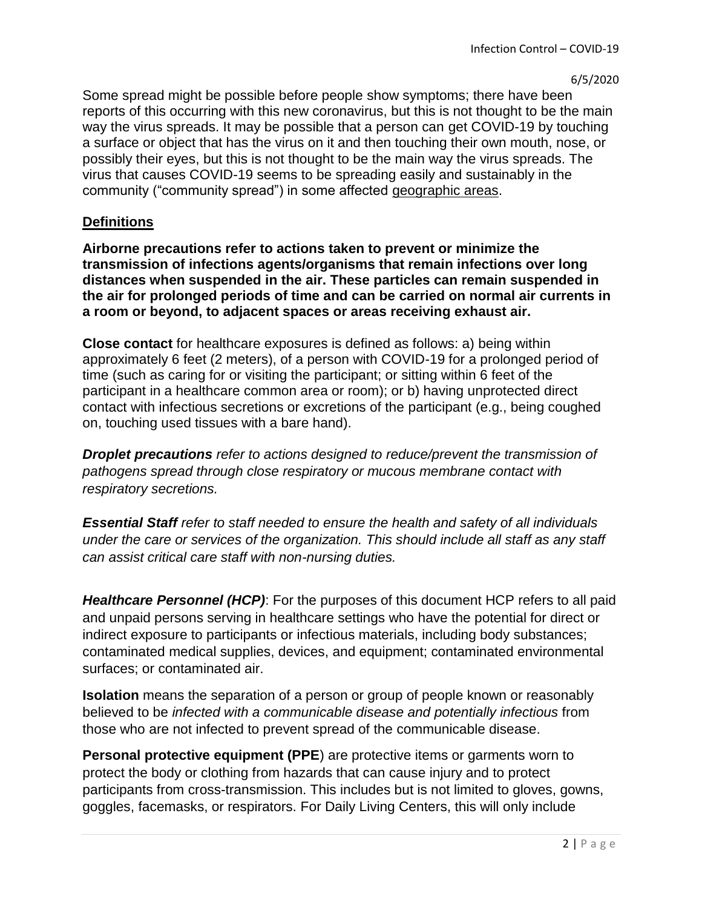Some spread might be possible before people show symptoms; there have been reports of this occurring with this new coronavirus, but this is not thought to be the main way the virus spreads. It may be possible that a person can get COVID-19 by touching a surface or object that has the virus on it and then touching their own mouth, nose, or possibly their eyes, but this is not thought to be the main way the virus spreads. The virus that causes COVID-19 seems to be spreading easily and sustainably in the community ("community spread") in some affected [geographic areas.](https://www.cdc.gov/coronavirus/2019-ncov/travelers/index.html)

### **Definitions**

**Airborne precautions refer to actions taken to prevent or minimize the transmission of infections agents/organisms that remain infections over long distances when suspended in the air. These particles can remain suspended in the air for prolonged periods of time and can be carried on normal air currents in a room or beyond, to adjacent spaces or areas receiving exhaust air.** 

**Close contact** for healthcare exposures is defined as follows: a) being within approximately 6 feet (2 meters), of a person with COVID-19 for a prolonged period of time (such as caring for or visiting the participant; or sitting within 6 feet of the participant in a healthcare common area or room); or b) having unprotected direct contact with infectious secretions or excretions of the participant (e.g., being coughed on, touching used tissues with a bare hand).

*Droplet precautions refer to actions designed to reduce/prevent the transmission of pathogens spread through close respiratory or mucous membrane contact with respiratory secretions.* 

*Essential Staff refer to staff needed to ensure the health and safety of all individuals under the care or services of the organization. This should include all staff as any staff can assist critical care staff with non-nursing duties.* 

*Healthcare Personnel (HCP)*: For the purposes of this document HCP refers to all paid and unpaid persons serving in healthcare settings who have the potential for direct or indirect exposure to participants or infectious materials, including body substances; contaminated medical supplies, devices, and equipment; contaminated environmental surfaces; or contaminated air.

**Isolation** means the separation of a person or group of people known or reasonably believed to be *infected with a communicable disease and potentially infectious* from those who are not infected to prevent spread of the communicable disease.

**Personal protective equipment (PPE**) are protective items or garments worn to protect the body or clothing from hazards that can cause injury and to protect participants from cross-transmission. This includes but is not limited to gloves, gowns, goggles, facemasks, or respirators. For Daily Living Centers, this will only include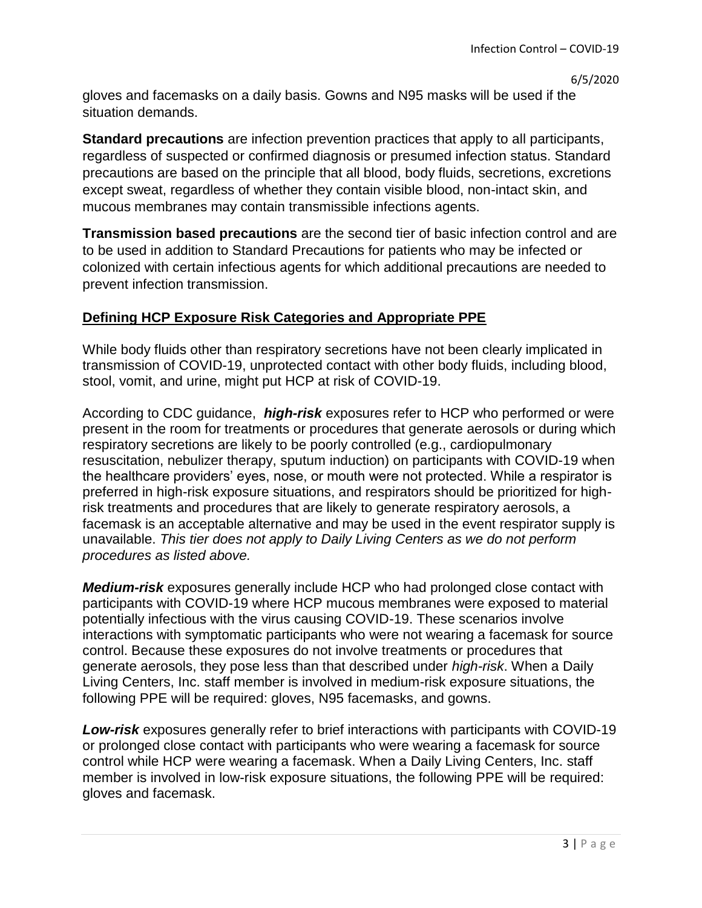gloves and facemasks on a daily basis. Gowns and N95 masks will be used if the situation demands.

**Standard precautions** are infection prevention practices that apply to all participants, regardless of suspected or confirmed diagnosis or presumed infection status. Standard precautions are based on the principle that all blood, body fluids, secretions, excretions except sweat, regardless of whether they contain visible blood, non-intact skin, and mucous membranes may contain transmissible infections agents.

**Transmission based precautions** are the second tier of basic infection control and are to be used in addition to Standard Precautions for patients who may be infected or colonized with certain infectious agents for which additional precautions are needed to prevent infection transmission.

# **Defining HCP Exposure Risk Categories and Appropriate PPE**

While body fluids other than respiratory secretions have not been clearly implicated in transmission of COVID-19, unprotected contact with other body fluids, including blood, stool, vomit, and urine, might put HCP at risk of COVID-19.

According to CDC guidance, *high-risk* exposures refer to HCP who performed or were present in the room for treatments or procedures that generate aerosols or during which respiratory secretions are likely to be poorly controlled (e.g., cardiopulmonary resuscitation, nebulizer therapy, sputum induction) on participants with COVID-19 when the healthcare providers' eyes, nose, or mouth were not protected. While a respirator is preferred in high-risk exposure situations, and respirators should be prioritized for highrisk treatments and procedures that are likely to generate respiratory aerosols, a facemask is an acceptable alternative and may be used in the event respirator supply is unavailable. *This tier does not apply to Daily Living Centers as we do not perform procedures as listed above.*

*Medium-risk* exposures generally include HCP who had prolonged close contact with participants with COVID-19 where HCP mucous membranes were exposed to material potentially infectious with the virus causing COVID-19. These scenarios involve interactions with symptomatic participants who were not wearing a facemask for source control. Because these exposures do not involve treatments or procedures that generate aerosols, they pose less than that described under *high-risk*. When a Daily Living Centers, Inc. staff member is involved in medium-risk exposure situations, the following PPE will be required: gloves, N95 facemasks, and gowns.

*Low-risk* exposures generally refer to brief interactions with participants with COVID-19 or prolonged close contact with participants who were wearing a facemask for source control while HCP were wearing a facemask. When a Daily Living Centers, Inc. staff member is involved in low-risk exposure situations, the following PPE will be required: gloves and facemask.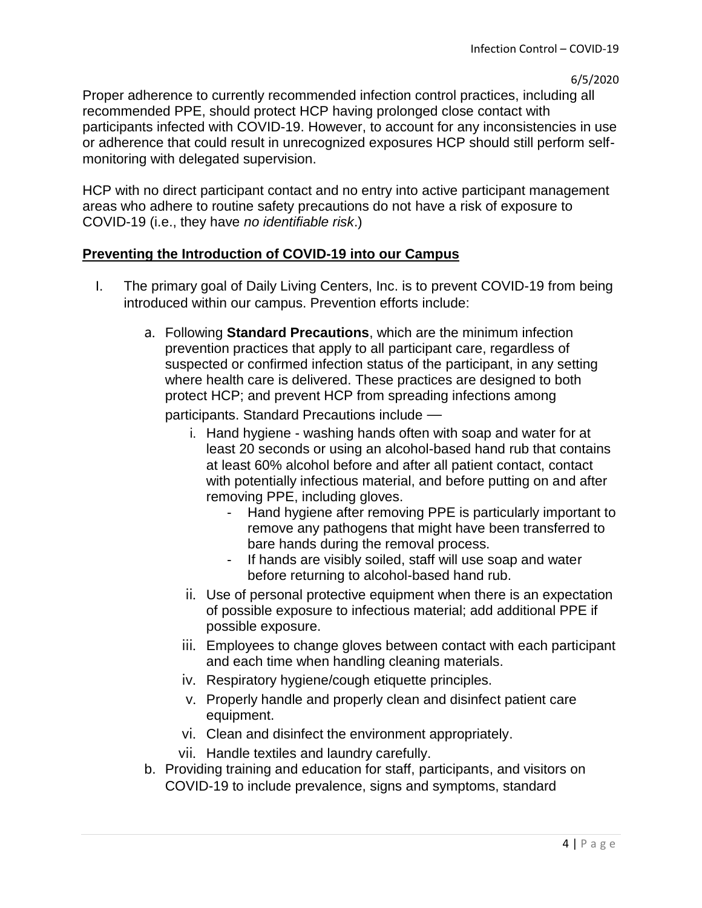Proper adherence to currently recommended infection control practices, including all recommended PPE, should protect HCP having prolonged close contact with participants infected with COVID-19. However, to account for any inconsistencies in use or adherence that could result in unrecognized exposures HCP should still perform selfmonitoring with delegated supervision.

HCP with no direct participant contact and no entry into active participant management areas who adhere to routine safety precautions do not have a risk of exposure to COVID-19 (i.e., they have *no identifiable risk*.)

### **Preventing the Introduction of COVID-19 into our Campus**

- I. The primary goal of Daily Living Centers, Inc. is to prevent COVID-19 from being introduced within our campus. Prevention efforts include:
	- a. Following **Standard Precautions**, which are the minimum infection prevention practices that apply to all participant care, regardless of suspected or confirmed infection status of the participant, in any setting where health care is delivered. These practices are designed to both protect HCP; and prevent HCP from spreading infections among participants. Standard Precautions include
		- i. Hand hygiene washing hands often with soap and water for at least 20 seconds or using an alcohol-based hand rub that contains at least 60% alcohol before and after all patient contact, contact with potentially infectious material, and before putting on and after removing PPE, including gloves.
			- Hand hygiene after removing PPE is particularly important to remove any pathogens that might have been transferred to bare hands during the removal process.
			- If hands are visibly soiled, staff will use soap and water before returning to alcohol-based hand rub.
		- ii. Use of personal protective equipment when there is an expectation of possible exposure to infectious material; add additional PPE if possible exposure.
		- iii. Employees to change gloves between contact with each participant and each time when handling cleaning materials.
		- iv. Respiratory hygiene/cough etiquette principles.
		- v. Properly handle and properly clean and disinfect patient care equipment.
		- vi. Clean and disinfect the environment appropriately.
		- vii. Handle textiles and laundry carefully.
	- b. Providing training and education for staff, participants, and visitors on COVID-19 to include prevalence, signs and symptoms, standard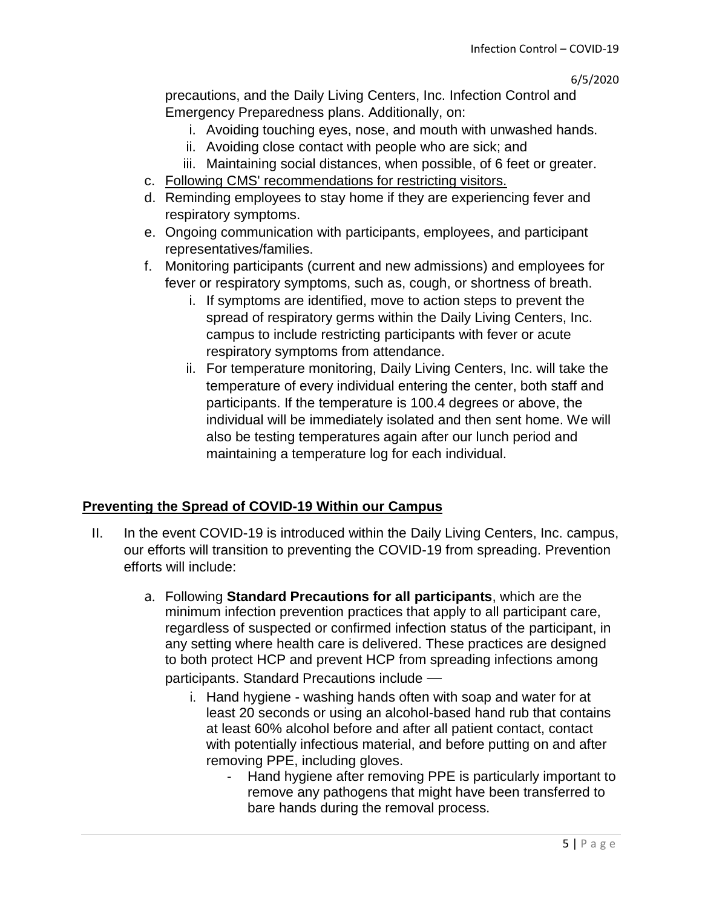precautions, and the Daily Living Centers, Inc. Infection Control and Emergency Preparedness plans. Additionally, on:

- i. Avoiding touching eyes, nose, and mouth with unwashed hands.
- ii. Avoiding close contact with people who are sick; and
- iii. Maintaining social distances, when possible, of 6 feet or greater.
- c. [Following CMS' recommendations for restricting visitors.](https://www.cms.gov/files/document/qso-20-14-nh-revised.pdf)
- d. Reminding employees to stay home if they are experiencing fever and respiratory symptoms.
- e. Ongoing communication with participants, employees, and participant representatives/families.
- f. Monitoring participants (current and new admissions) and employees for fever or respiratory symptoms, such as, cough, or shortness of breath.
	- i. If symptoms are identified, move to action steps to prevent the spread of respiratory germs within the Daily Living Centers, Inc. campus to include restricting participants with fever or acute respiratory symptoms from attendance.
	- ii. For temperature monitoring, Daily Living Centers, Inc. will take the temperature of every individual entering the center, both staff and participants. If the temperature is 100.4 degrees or above, the individual will be immediately isolated and then sent home. We will also be testing temperatures again after our lunch period and maintaining a temperature log for each individual.

# **Preventing the Spread of COVID-19 Within our Campus**

- II. In the event COVID-19 is introduced within the Daily Living Centers, Inc. campus, our efforts will transition to preventing the COVID-19 from spreading. Prevention efforts will include:
	- a. Following **Standard Precautions for all participants**, which are the minimum infection prevention practices that apply to all participant care, regardless of suspected or confirmed infection status of the participant, in any setting where health care is delivered. These practices are designed to both protect HCP and prevent HCP from spreading infections among participants. Standard Precautions include
		- i. Hand hygiene washing hands often with soap and water for at least 20 seconds or using an alcohol-based hand rub that contains at least 60% alcohol before and after all patient contact, contact with potentially infectious material, and before putting on and after removing PPE, including gloves.
			- Hand hygiene after removing PPE is particularly important to remove any pathogens that might have been transferred to bare hands during the removal process.